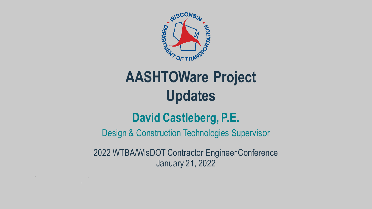

# **AASHTOWare Project Updates**

# **David Castleberg, P.E.**

Design & Construction Technologies Supervisor

2022 WTBA/WisDOT Contractor Engineer Conference January 21, 2022

and the control of the control of the control of the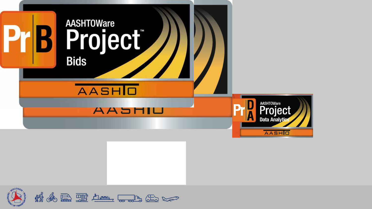

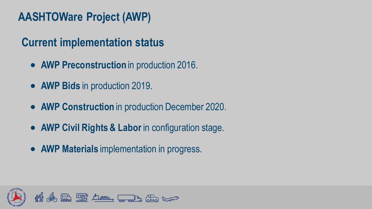## **AASHTOWare Project (AWP)**

### **Current implementation status**

- **AWP Preconstruction** in production 2016.
- **AWP Bids** in production 2019.
- **AWP Construction** in production December 2020.
- **AWP Civil Rights & Labor** in configuration stage.
- **AWP Materials** implementation in progress.

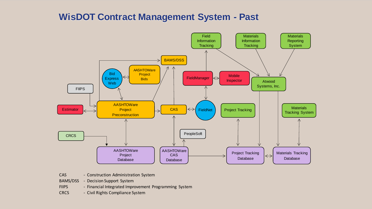### **WisDOT Contract Management System - Past**



- CAS Construction Administration System
- BAMS/DSS Decision Support System
- FIIPS Financial Integrated Improvement Programming System
- CRCS Civil Rights Compliance System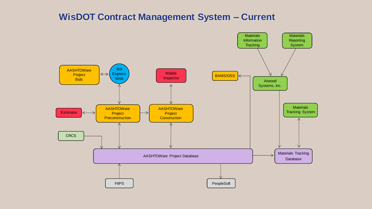### **WisDOT Contract Management System – Current**

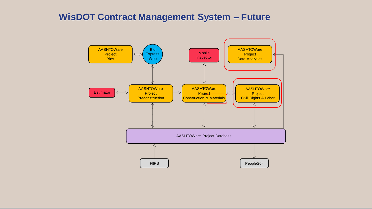### **WisDOT Contract Management System – Future**

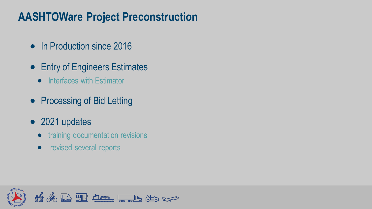### **AASHTOWare Project Preconstruction**

- In Production since 2016
- Entry of Engineers Estimates
	- Interfaces with Estimator
- Processing of Bid Letting
- 2021 updates
	- training documentation revisions
	- revised several reports

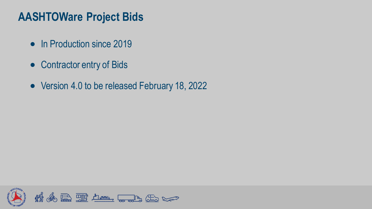### **AASHTOWare Project Bids**

- In Production since 2019
- Contractor entry of Bids
- Version 4.0 to be released February 18, 2022

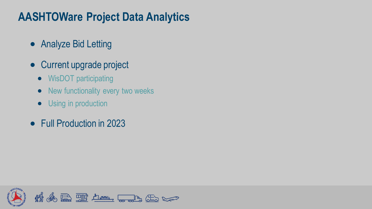### **AASHTOWare Project Data Analytics**

- Analyze Bid Letting
- Current upgrade project
	- WisDOT participating
	- New functionality every two weeks
	- Using in production
- Full Production in 2023

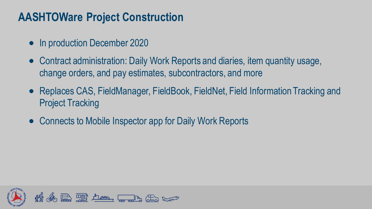### **AASHTOWare Project Construction**

- In production December 2020
- Contract administration: Daily Work Reports and diaries, item quantity usage, change orders, and pay estimates, subcontractors, and more
- Replaces CAS, FieldManager, FieldBook, FieldNet, Field Information Tracking and Project Tracking
- Connects to Mobile Inspector app for Daily Work Reports

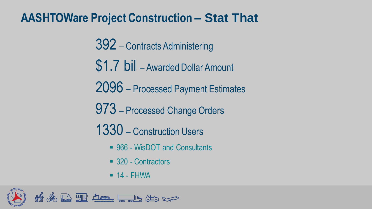### **AASHTOWare Project Construction – Stat That**

- 392 Contracts Administering
- \$1.7 bil Awarded Dollar Amount
- 2096 Processed Payment Estimates
- 973 Processed Change Orders
- 1330 Construction Users
	- 966 WisDOT and Consultants
	- 320 Contractors
	- $\blacksquare$  14 FHWA

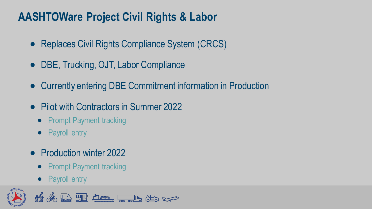### **AASHTOWare Project Civil Rights & Labor**

- Replaces Civil Rights Compliance System (CRCS)
- DBE, Trucking, OJT, Labor Compliance
- Currently entering DBE Commitment information in Production
- Pilot with Contractors in Summer 2022
	- Prompt Payment tracking
	- Payroll entry
- Production winter 2022
	- Prompt Payment tracking
	- Payroll entry

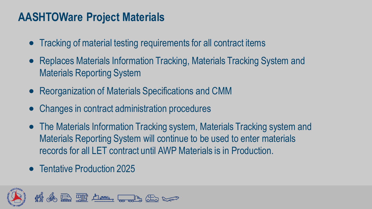### **AASHTOWare Project Materials**

- Tracking of material testing requirements for all contract items
- Replaces Materials Information Tracking, Materials Tracking System and Materials Reporting System
- Reorganization of Materials Specifications and CMM
- Changes in contract administration procedures
- The Materials Information Tracking system, Materials Tracking system and Materials Reporting System will continue to be used to enter materials records for all LET contract until AWP Materials is in Production.
- Tentative Production 2025

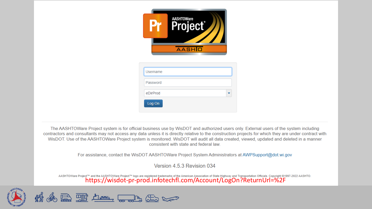|          | <b>AASHTOWare</b><br>Project<br><b>AASHIO</b> |
|----------|-----------------------------------------------|
| Username |                                               |
| Password |                                               |
| eDirProd |                                               |

The AASHTOWare Project system is for official business use by WisDOT and authorized users only. External users of the system including contractors and consultants may not access any data unless it is directly relative to the construction projects for which they are under contract with WisDOT. Use of the AASHTOWare Project system is monitored. WisDOT will audit all data created, viewed, updated and deleted in a manner consistent with state and federal law.

Log On

For assistance, contact the WisDOT AASHTOWare Project System Administrators at AWPSupport@dot.wi.gov

Version 4.5.3 Revision 034

AASHTOWare Project™ and the AASHTOWare Project™ logo are registered trademarks of the American Association of State Highway and Transportation Officials. Copyright ©1997-2022 AASHTO.<br>https://wisdot-pr-prod.infotechfl.com/

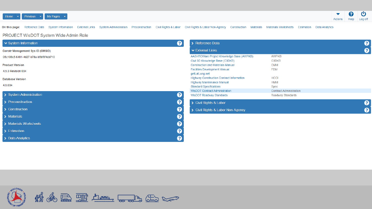



On this page: Reference Data System Information External Links System Administration Preconstruction Civil Rights & Labor Civil Rights & Labor Non-Agency Construction Materials Materials Worksheets Estimation Data Analytic

### PROJECT WisDOT System Wide Admin Role

| ▼ System Information                    | ❷ | > Reference Data                          |                                | 3 |
|-----------------------------------------|---|-------------------------------------------|--------------------------------|---|
| <b>Constr Management Sys ID (CMSID)</b> |   | ► External Links                          |                                | 3 |
| 05c108c5-6491-4d27-b78a-b5bf0f4cb710    |   | AASHTOWare Project Knowledge Base (AWPKB) | AWPKB                          |   |
|                                         |   | Civil 3D Knowledge Base (C3DKB)           | C3DKB                          |   |
| <b>Product Version</b>                  |   | <b>Construction and Materials Manual</b>  | <b>CMM</b>                     |   |
| 4.5.3 Revision 034                      |   | <b>Facilities Development Manual</b>      | <b>FDM</b>                     |   |
|                                         |   | getLatLong.net                            |                                |   |
| <b>Database Version</b>                 |   | Highway Construction Contract Information | <b>HCCI</b>                    |   |
|                                         |   | Highway Maintenance Manual                | <b>HMM</b>                     |   |
| 4.5.034                                 |   | <b>Standard Specifications</b>            | Spec                           |   |
|                                         |   | WisDOT Contract Administration            | <b>Contract Administration</b> |   |
| > System Administration                 | 0 | WisDOT Roadway Standards                  | Roadway Standards              |   |
| > Preconstruction                       | ❷ | > Civil Rights & Labor                    |                                | 3 |
| > Construction                          | ❷ | > Civil Rights & Labor Non-Agency         |                                |   |
| > Materials                             | 0 |                                           |                                |   |
| > Materials Worksheets                  | 0 |                                           |                                |   |
| > Estimation                            | 0 |                                           |                                |   |
| > Data Analytics                        | 0 |                                           |                                |   |

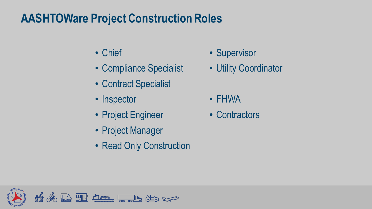## **AASHTOWare Project Construction Roles**

- Chief
- Compliance Specialist
- Contract Specialist
- Inspector
- Project Engineer
- Project Manager
- Read Only Construction
- Supervisor
- Utility Coordinator
- FHWA
- Contractors

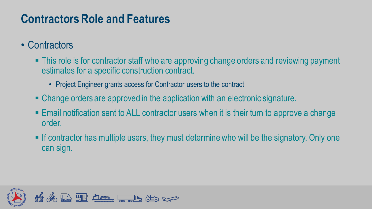### **Contractors Role and Features**

- Contractors
	- **This role is for contractor staff who are approving change orders and reviewing payment** estimates for a specific construction contract.
		- Project Engineer grants access for Contractor users to the contract
	- Change orders are approved in the application with an electronic signature.
	- Email notification sent to ALL contractor users when it is their turn to approve a change order.
	- $\blacksquare$  If contractor has multiple users, they must determine who will be the signatory. Only one can sign.

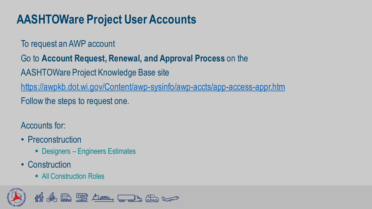# **AASHTOWare Project User Accounts**

To request an AWP account

Go to **Account Request, Renewal, and Approval Process** on the

AASHTOWare Project Knowledge Base site

<https://awpkb.dot.wi.gov/Content/awp-sysinfo/awp-accts/app-access-appr.htm>

Follow the steps to request one.

Accounts for:

- Preconstruction
	- Designers Engineers Estimates
- Construction
	- All Construction Roles

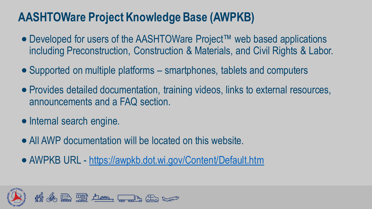## **AASHTOWare Project Knowledge Base (AWPKB)**

- Developed for users of the AASHTOWare Project™ web based applications including Preconstruction, Construction & Materials, and Civil Rights & Labor.
- Supported on multiple platforms smartphones, tablets and computers
- Provides detailed documentation, training videos, links to external resources, announcements and a FAQ section.
- Internal search engine.
- All AWP documentation will be located on this website.
- AWPKB URL <https://awpkb.dot.wi.gov/Content/Default.htm>

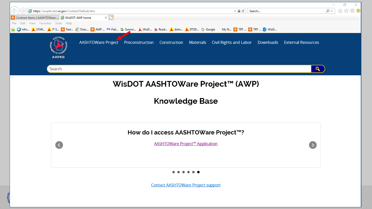

**Contact AASHTOWare Project support**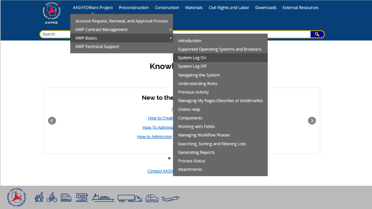

Search



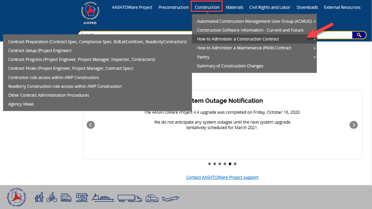

Contract Preparation (Contract Spec, Compliance Spec, BidLetContExec, ReadonlyContractors)

**AASHTOWare Project** Preconstruction Construction Materials

Automated Construction Management User Group (ACMUG) »

Construction Software Information - Current and Future

How to Administer a Construction Contract

How to Administer a Maintenance (PbM) Contract

Pantry

Summary of Construction Changes

### tem Outage Notification

The AASHTOWare Project 4.4 upgrade was completed on Friday, October 16, 2020.

We do not anticipate any system outages until the next system upgrade tentatively scheduled for March 2021.

**Contact AASHTOWare Project support** 



### Contract Setup (Project Engineer)

Contract Progress (Project Engineer, Project Manager, Inspector, Contractors)

Contract Finals (Project Engineer, Project Manager, Contract Spec)

Contractor role access within AWP Construction

Readonly Construction role access within AWP Construction

Other Contract Administration Procedures

**Agency Views** 

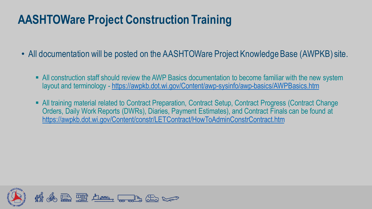## **AASHTOWare Project Construction Training**

- All documentation will be posted on the AASHTOWare Project Knowledge Base (AWPKB) site.
	- **E** All construction staff should review the AWP Basics documentation to become familiar with the new system layout and terminology - <https://awpkb.dot.wi.gov/Content/awp-sysinfo/awp-basics/AWPBasics.htm>
	- All training material related to Contract Preparation, Contract Setup, Contract Progress (Contract Change Orders, Daily Work Reports (DWRs), Diaries, Payment Estimates), and Contract Finals can be found at <https://awpkb.dot.wi.gov/Content/constr/LETContract/HowToAdminConstrContract.htm>

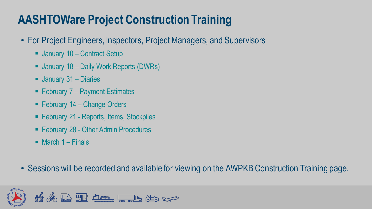# **AASHTOWare Project Construction Training**

- For Project Engineers, Inspectors, Project Managers, and Supervisors
	- January 10 Contract Setup
	- January 18 Daily Work Reports (DWRs)
	- January 31 Diaries
	- $\blacksquare$  February 7 Payment Estimates
	- $\blacksquare$  February 14 Change Orders
	- February 21 Reports, Items, Stockpiles
	- February 28 Other Admin Procedures
	- $\blacksquare$  March 1 Finals
- Sessions will be recorded and available for viewing on the AWPKB Construction Training page.

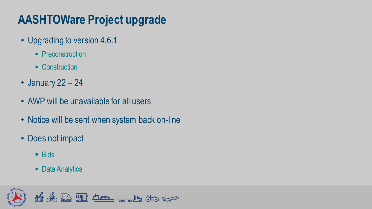# **AASHTOWare Project upgrade**

- Upgrading to version 4.6.1
	- **Preconstruction**
	- Construction
- January 22 24
- AWP will be unavailable for all users
- Notice will be sent when system back on-line
- Does not impact
	- Bids
	- Data Analytics

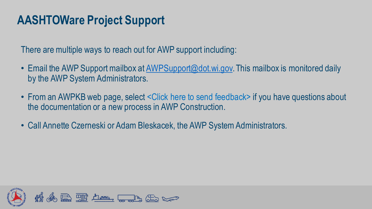## **AASHTOWare Project Support**

There are multiple ways to reach out for AWP support including:

- Email the AWP Support mailbox at [AWPSupport@dot.wi.gov.](mailto:AWPSupport@dot.wi.gov) This mailbox is monitored daily by the AWP System Administrators.
- From an AWPKB web page, select < Click here to send feedback> if you have questions about the documentation or a new process in AWP Construction.
- Call Annette Czerneski or Adam Bleskacek, the AWP System Administrators.